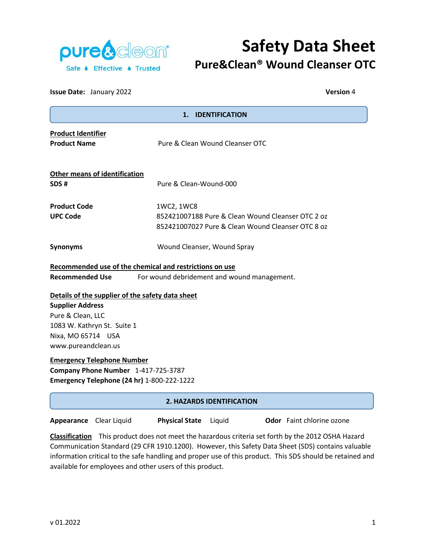

# **Safety Data Sheet Pure&Clean® Wound Cleanser OTC**

| <b>Issue Date: January 2022</b>                                                                                                                                              | <b>Version 4</b>                                                                                                     |
|------------------------------------------------------------------------------------------------------------------------------------------------------------------------------|----------------------------------------------------------------------------------------------------------------------|
|                                                                                                                                                                              | 1. IDENTIFICATION                                                                                                    |
| <b>Product Identifier</b><br><b>Product Name</b>                                                                                                                             | Pure & Clean Wound Cleanser OTC                                                                                      |
| <b>Other means of identification</b><br>SDS #                                                                                                                                | Pure & Clean-Wound-000                                                                                               |
| <b>Product Code</b><br><b>UPC Code</b>                                                                                                                                       | 1WC2, 1WC8<br>852421007188 Pure & Clean Wound Cleanser OTC 2 oz<br>852421007027 Pure & Clean Wound Cleanser OTC 8 oz |
| <b>Synonyms</b>                                                                                                                                                              | Wound Cleanser, Wound Spray                                                                                          |
| Recommended use of the chemical and restrictions on use<br><b>Recommended Use</b>                                                                                            | For wound debridement and wound management.                                                                          |
| Details of the supplier of the safety data sheet<br><b>Supplier Address</b><br>Pure & Clean, LLC<br>1083 W. Kathryn St. Suite 1<br>Nixa, MO 65714 USA<br>www.pureandclean.us |                                                                                                                      |
| <b>Emergency Telephone Number</b><br>Company Phone Number 1-417-725-3787<br>Emergency Telephone (24 hr) 1-800-222-1222                                                       |                                                                                                                      |
|                                                                                                                                                                              | <b>2. HAZARDS IDENTIFICATION</b>                                                                                     |

**Appearance** Clear Liquid **Physical State** Liquid **Odor** Faint chlorine ozone

**Classification** This product does not meet the hazardous criteria set forth by the 2012 OSHA Hazard Communication Standard (29 CFR 1910.1200). However, this Safety Data Sheet (SDS) contains valuable information critical to the safe handling and proper use of this product. This SDS should be retained and available for employees and other users of this product.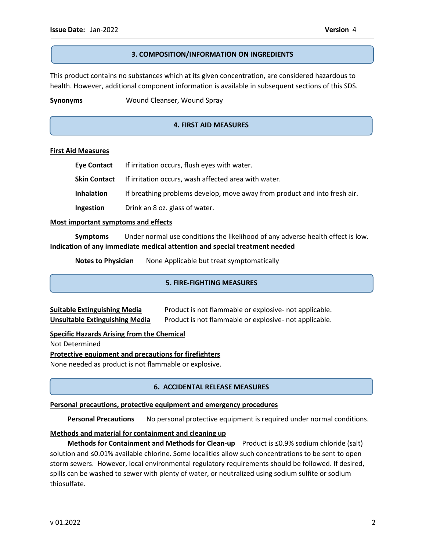j 

#### **3. COMPOSITION/INFORMATION ON INGREDIENTS**

This product contains no substances which at its given concentration, are considered hazardous to health. However, additional component information is available in subsequent sections of this SDS.

**Synonyms** Wound Cleanser, Wound Spray

# **4. FIRST AID MEASURES**

#### **First Aid Measures**

|                   | Eye Contact If irritation occurs, flush eyes with water.                  |
|-------------------|---------------------------------------------------------------------------|
|                   | <b>Skin Contact</b> If irritation occurs, wash affected area with water.  |
| <b>Inhalation</b> | If breathing problems develop, move away from product and into fresh air. |
| Ingestion         | Drink an 8 oz. glass of water.                                            |

#### **Most important symptoms and effects**

**Symptoms** Under normal use conditions the likelihood of any adverse health effect is low. **Indication of any immediate medical attention and special treatment needed**

**Notes to Physician** None Applicable but treat symptomatically

#### **5. FIRE-FIGHTING MEASURES**

| <b>Suitable Extinguishing Media</b> | Product is not flammable or explosive- not applicable. |
|-------------------------------------|--------------------------------------------------------|
| Unsuitable Extinguishing Media      | Product is not flammable or explosive- not applicable. |

#### **Specific Hazards Arising from the Chemical**

Not Determined

### **Protective equipment and precautions for firefighters**

None needed as product is not flammable or explosive.

# **6. ACCIDENTAL RELEASE MEASURES**

#### **Personal precautions, protective equipment and emergency procedures**

 **Personal Precautions** No personal protective equipment is required under normal conditions.

# **Methods and material for containment and cleaning up**

 **Methods for Containment and Methods for Clean-up** Product is ≤0.9% sodium chloride (salt) solution and ≤0.01% available chlorine. Some localities allow such concentrations to be sent to open storm sewers. However, local environmental regulatory requirements should be followed. If desired, spills can be washed to sewer with plenty of water, or neutralized using sodium sulfite or sodium thiosulfate.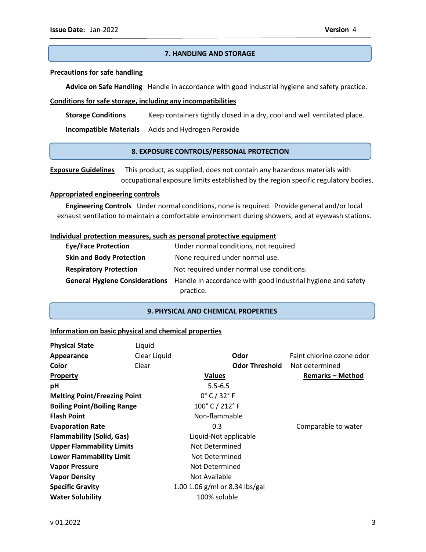# **7. HANDLING AND STORAGE**

#### **Precautions for safe handling**

 **Advice on Safe Handling** Handle in accordance with good industrial hygiene and safety practice.

#### **Conditions for safe storage, including any incompatibilities**

**Storage Conditions** Keep containers tightly closed in a dry, cool and well ventilated place.

 **Incompatible Materials** Acids and Hydrogen Peroxide

### **8. EXPOSURE CONTROLS/PERSONAL PROTECTION**

**Exposure Guidelines** This product, as supplied, does not contain any hazardous materials with occupational exposure limits established by the region specific regulatory bodies.

#### **Appropriated engineering controls**

 **Engineering Controls** Under normal conditions, none is required. Provide general and/or local exhaust ventilation to maintain a comfortable environment during showers, and at eyewash stations.

#### **Individual protection measures, such as personal protective equipment**

| <b>Eye/Face Protection</b>      | Under normal conditions, not required.                                                      |
|---------------------------------|---------------------------------------------------------------------------------------------|
| <b>Skin and Body Protection</b> | None required under normal use.                                                             |
| <b>Respiratory Protection</b>   | Not required under normal use conditions.                                                   |
|                                 | General Hygiene Considerations Handle in accordance with good industrial hygiene and safety |
|                                 | practice.                                                                                   |

#### **9. PHYSICAL AND CHEMICAL PROPERTIES**

#### **Information on basic physical and chemical properties**

| <b>Physical State</b>               | Liquid       |                                  |                           |
|-------------------------------------|--------------|----------------------------------|---------------------------|
| Appearance                          | Clear Liquid | Odor                             | Faint chlorine ozone odor |
| Color                               | Clear        | <b>Odor Threshold</b>            | Not determined            |
| Property                            |              | Values                           | <b>Remarks - Method</b>   |
| pH                                  |              | $5.5 - 6.5$                      |                           |
| <b>Melting Point/Freezing Point</b> |              | $0^{\circ}$ C / 32 $^{\circ}$ F  |                           |
| <b>Boiling Point/Boiling Range</b>  |              | 100°C / 212°F                    |                           |
| <b>Flash Point</b>                  |              | Non-flammable                    |                           |
| <b>Evaporation Rate</b>             |              | 0.3                              | Comparable to water       |
| <b>Flammability (Solid, Gas)</b>    |              | Liquid-Not applicable            |                           |
| <b>Upper Flammability Limits</b>    |              | Not Determined                   |                           |
| <b>Lower Flammability Limit</b>     |              | Not Determined                   |                           |
| <b>Vapor Pressure</b>               |              | Not Determined                   |                           |
| <b>Vapor Density</b>                |              | Not Available                    |                           |
| <b>Specific Gravity</b>             |              | 1.00 1.06 $g/ml$ or 8.34 lbs/gal |                           |
| <b>Water Solubility</b>             |              | 100% soluble                     |                           |
|                                     |              |                                  |                           |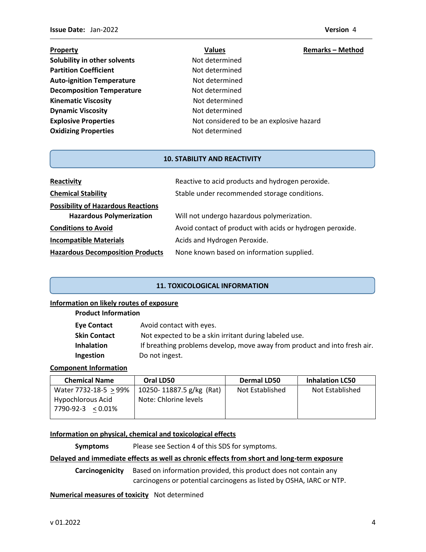| Property                         | <b>Values</b>                            | <b>Remarks - Method</b> |
|----------------------------------|------------------------------------------|-------------------------|
| Solubility in other solvents     | Not determined                           |                         |
| <b>Partition Coefficient</b>     | Not determined                           |                         |
| <b>Auto-ignition Temperature</b> | Not determined                           |                         |
| <b>Decomposition Temperature</b> | Not determined                           |                         |
| <b>Kinematic Viscosity</b>       | Not determined                           |                         |
| <b>Dynamic Viscosity</b>         | Not determined                           |                         |
| <b>Explosive Properties</b>      | Not considered to be an explosive hazard |                         |
| <b>Oxidizing Properties</b>      | Not determined                           |                         |

#### **10. STABILITY AND REACTIVITY**

| Reactivity                                | Reactive to acid products and hydrogen peroxide.          |  |
|-------------------------------------------|-----------------------------------------------------------|--|
| <b>Chemical Stability</b>                 | Stable under recommended storage conditions.              |  |
| <b>Possibility of Hazardous Reactions</b> |                                                           |  |
| <b>Hazardous Polymerization</b>           | Will not undergo hazardous polymerization.                |  |
| <b>Conditions to Avoid</b>                | Avoid contact of product with acids or hydrogen peroxide. |  |
| <b>Incompatible Materials</b>             | Acids and Hydrogen Peroxide.                              |  |
| <b>Hazardous Decomposition Products</b>   | None known based on information supplied.                 |  |

# **11. TOXICOLOGICAL INFORMATION**

# **Information on likely routes of exposure**

| <b>Product Information</b> |  |
|----------------------------|--|
|----------------------------|--|

| <b>Eye Contact</b> | Avoid contact with eyes.                                                  |
|--------------------|---------------------------------------------------------------------------|
| Skin Contact       | Not expected to be a skin irritant during labeled use.                    |
| <b>Inhalation</b>  | If breathing problems develop, move away from product and into fresh air. |
| Ingestion          | Do not ingest.                                                            |

# **Component Information**

| <b>Chemical Name</b>  | Oral LD50                | Dermal LD50     | <b>Inhalation LC50</b> |
|-----------------------|--------------------------|-----------------|------------------------|
| Water 7732-18-5 > 99% | 10250-11887.5 g/kg (Rat) | Not Established | Not Established        |
| Hypochlorous Acid     | Note: Chlorine levels    |                 |                        |
| 7790-92-3 < 0.01%     |                          |                 |                        |

# **Information on physical, chemical and toxicological effects**

**Symptoms** Please see Section 4 of this SDS for symptoms.

# **Delayed and immediate effects as well as chronic effects from short and long-term exposure**

**Carcinogenicity** Based on information provided, this product does not contain any carcinogens or potential carcinogens as listed by OSHA, IARC or NTP.

#### **Numerical measures of toxicity** Not determined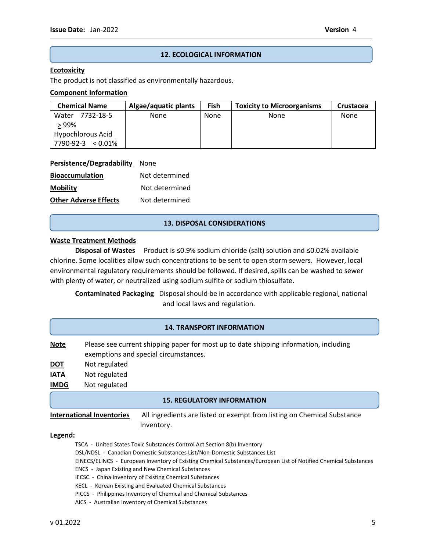# **12. ECOLOGICAL INFORMATION**

#### **Ecotoxicity**

The product is not classified as environmentally hazardous.

### **Component Information**

| <b>Chemical Name</b>   | Algae/aquatic plants | Fish | <b>Toxicity to Microorganisms</b> | Crustacea |
|------------------------|----------------------|------|-----------------------------------|-----------|
| Water 7732-18-5        | None                 | None | None                              | None      |
| > 99%                  |                      |      |                                   |           |
| Hypochlorous Acid      |                      |      |                                   |           |
| 7790-92-3<br>$<$ 0.01% |                      |      |                                   |           |

| Persistence/Degradability None |  |
|--------------------------------|--|
|                                |  |

| <b>Bioaccumulation</b>       | Not determined |
|------------------------------|----------------|
| <b>Mobility</b>              | Not determined |
| <b>Other Adverse Effects</b> | Not determined |

#### **13. DISPOSAL CONSIDERATIONS**

# **Waste Treatment Methods**

**Disposal of Wastes** Product is ≤0.9% sodium chloride (salt) solution and ≤0.02% available chlorine. Some localities allow such concentrations to be sent to open storm sewers. However, local environmental regulatory requirements should be followed. If desired, spills can be washed to sewer with plenty of water, or neutralized using sodium sulfite or sodium thiosulfate.

**Contaminated Packaging** Disposal should be in accordance with applicable regional, national and local laws and regulation.

#### **14. TRANSPORT INFORMATION**

- **Note** Please see current shipping paper for most up to date shipping information, including exemptions and special circumstances. **DOT** Not regulated
- **IATA** Not regulated
- **IMDG** Not regulated

#### **15. REGULATORY INFORMATION**

**International Inventories** All ingredients are listed or exempt from listing on Chemical Substance Inventory.

#### **Legend:**

- TSCA United States Toxic Substances Control Act Section 8(b) Inventory
- DSL/NDSL Canadian Domestic Substances List/Non-Domestic Substances List
- EINECS/ELINCS European Inventory of Existing Chemical Substances/European List of Notified Chemical Substances
- ENCS Japan Existing and New Chemical Substances
- IECSC China Inventory of Existing Chemical Substances
- KECL Korean Existing and Evaluated Chemical Substances
- PICCS Philippines Inventory of Chemical and Chemical Substances
- AICS Australian Inventory of Chemical Substances